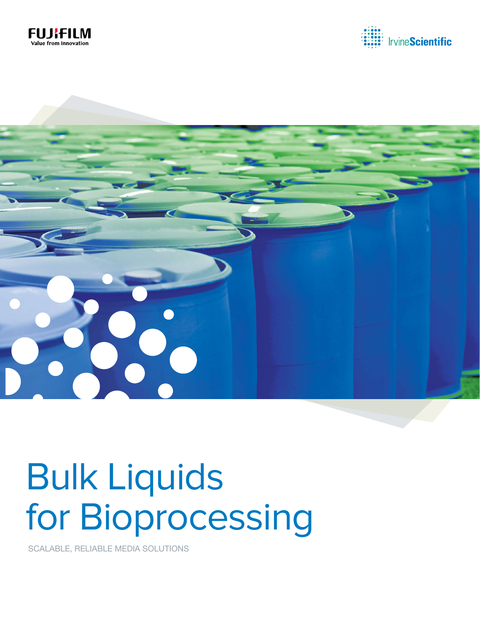





# Bulk Liquids for Bioprocessing

SCALABLE, RELIABLE MEDIA SOLUTIONS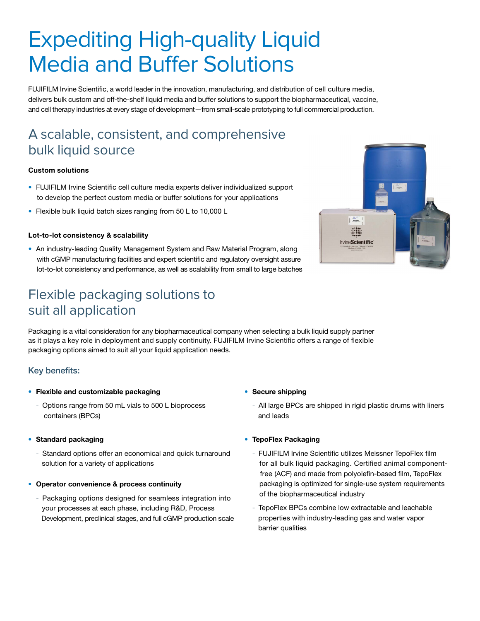# Expediting High-quality Liquid Media and Buffer Solutions

FUJIFILM Irvine Scientific, a world leader in the innovation, manufacturing, and distribution of cell culture media, delivers bulk custom and off-the-shelf liquid media and buffer solutions to support the biopharmaceutical, vaccine, and cell therapy industries at every stage of development—from small-scale prototyping to full commercial production.

# A scalable, consistent, and comprehensive bulk liquid source

#### Custom solutions

- FUJIFILM Irvine Scientific cell culture media experts deliver individualized support to develop the perfect custom media or buffer solutions for your applications
- Flexible bulk liquid batch sizes ranging from 50 L to 10,000 L

#### Lot-to-lot consistency & scalability

• An industry-leading Quality Management System and Raw Material Program, along with cGMP manufacturing facilities and expert scientific and regulatory oversight assure lot-to-lot consistency and performance, as well as scalability from small to large batches

## Flexible packaging solutions to suit all application

Packaging is a vital consideration for any biopharmaceutical company when selecting a bulk liquid supply partner as it plays a key role in deployment and supply continuity. FUJIFILM Irvine Scientific offers a range of flexible packaging options aimed to suit all your liquid application needs.

#### Key benefits:

- Flexible and customizable packaging
	- Options range from 50 mL vials to 500 L bioprocess containers (BPCs)

#### • Standard packaging

- Standard options offer an economical and quick turnaround solution for a variety of applications
- Operator convenience & process continuity
	- Packaging options designed for seamless integration into your processes at each phase, including R&D, Process Development, preclinical stages, and full cGMP production scale

#### • Secure shipping

All large BPCs are shipped in rigid plastic drums with liners and leads

#### • TepoFlex Packaging

- FUJIFILM Irvine Scientific utilizes Meissner TepoFlex film for all bulk liquid packaging. Certified animal component free (ACF) and made from polyolefin-based film, TepoFlex packaging is optimized for single-use system requirements of the biopharmaceutical industry
- TepoFlex BPCs combine low extractable and leachable properties with industry-leading gas and water vapor barrier qualities

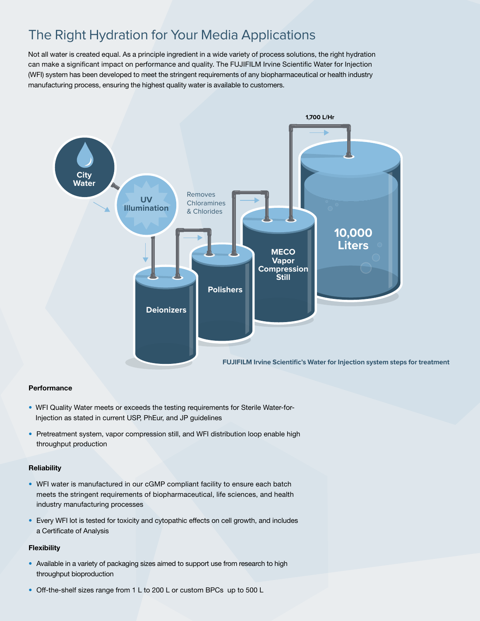# The Right Hydration for Your Media Applications

Not all water is created equal. As a principle ingredient in a wide variety of process solutions, the right hydration can make a significant impact on performance and quality. The FUJIFILM Irvine Scientific Water for Injection (WFI) system has been developed to meet the stringent requirements of any biopharmaceutical or health industry manufacturing process, ensuring the highest quality water is available to customers.



#### **Performance**

- WFI Quality Water meets or exceeds the testing requirements for Sterile Water-for-Injection as stated in current USP, PhEur, and JP guidelines
- Pretreatment system, vapor compression still, and WFI distribution loop enable high throughput production

#### **Reliability**

- WFI water is manufactured in our cGMP compliant facility to ensure each batch meets the stringent requirements of biopharmaceutical, life sciences, and health industry manufacturing processes
- Every WFI lot is tested for toxicity and cytopathic effects on cell growth, and includes a Certificate of Analysis

#### **Flexibility**

- Available in a variety of packaging sizes aimed to support use from research to high throughput bioproduction
- Off-the-shelf sizes range from 1 L to 200 L or custom BPCs up to 500 L